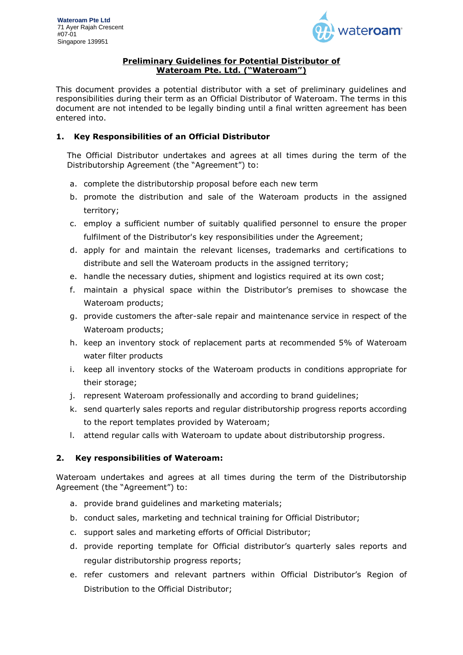

#### **Preliminary Guidelines for Potential Distributor of Wateroam Pte. Ltd. ("Wateroam")**

This document provides a potential distributor with a set of preliminary guidelines and responsibilities during their term as an Official Distributor of Wateroam. The terms in this document are not intended to be legally binding until a final written agreement has been entered into.

## **1. Key Responsibilities of an Official Distributor**

The Official Distributor undertakes and agrees at all times during the term of the Distributorship Agreement (the "Agreement") to:

- a. complete the distributorship proposal before each new term
- b. promote the distribution and sale of the Wateroam products in the assigned territory;
- c. employ a sufficient number of suitably qualified personnel to ensure the proper fulfilment of the Distributor's key responsibilities under the Agreement;
- d. apply for and maintain the relevant licenses, trademarks and certifications to distribute and sell the Wateroam products in the assigned territory;
- e. handle the necessary duties, shipment and logistics required at its own cost;
- f. maintain a physical space within the Distributor's premises to showcase the Wateroam products;
- g. provide customers the after-sale repair and maintenance service in respect of the Wateroam products;
- h. keep an inventory stock of replacement parts at recommended 5% of Wateroam water filter products
- i. keep all inventory stocks of the Wateroam products in conditions appropriate for their storage;
- j. represent Wateroam professionally and according to brand guidelines;
- k. send quarterly sales reports and regular distributorship progress reports according to the report templates provided by Wateroam;
- l. attend regular calls with Wateroam to update about distributorship progress.

# **2. Key responsibilities of Wateroam:**

Wateroam undertakes and agrees at all times during the term of the Distributorship Agreement (the "Agreement") to:

- a. provide brand guidelines and marketing materials;
- b. conduct sales, marketing and technical training for Official Distributor;
- c. support sales and marketing efforts of Official Distributor;
- d. provide reporting template for Official distributor's quarterly sales reports and regular distributorship progress reports;
- e. refer customers and relevant partners within Official Distributor's Region of Distribution to the Official Distributor;